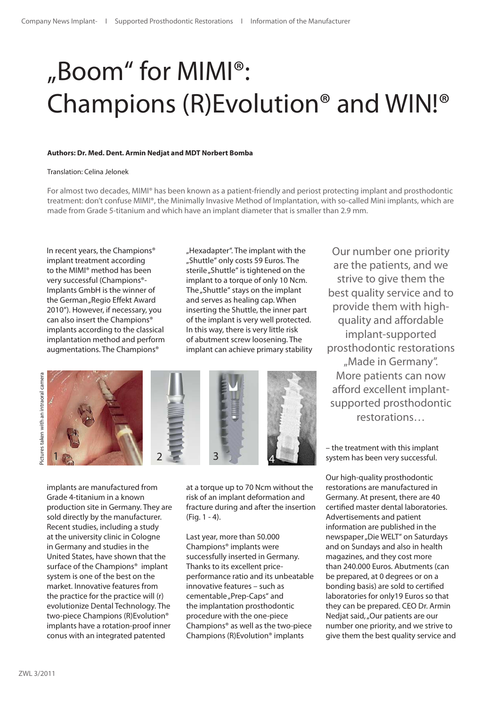# "Boom" for MIMI®: Champions (R)Evolution® and WIN!®

### **Authors: Dr. Med. Dent. Armin Nedjat and MDT Norbert Bomba**

#### Translation: Celina Jelonek

For almost two decades, MIMI® has been known as a patient-friendly and periost protecting implant and prosthodontic treatment: don't confuse MIMI®, the Minimally Invasive Method of Implantation, with so-called Mini implants, which are made from Grade 5-titanium and which have an implant diameter that is smaller than 2.9 mm.

In recent years, the Champions® implant treatment according to the MIMI® method has been very successful (Champions®- Implants GmbH is the winner of the German "Regio Effekt Award 2010"). However, if necessary, you can also insert the Champions® implants according to the classical implantation method and perform augmentations. The Champions®

"Hexadapter". The implant with the "Shuttle" only costs 59 Euros. The sterile "Shuttle" is tightened on the implant to a torque of only 10 Ncm. The "Shuttle" stays on the implant and serves as healing cap. When inserting the Shuttle, the inner part of the implant is very well protected. In this way, there is very little risk of abutment screw loosening. The implant can achieve primary stability



implants are manufactured from Grade 4-titanium in a known production site in Germany. They are sold directly by the manufacturer. Recent studies, including a study at the university clinic in Cologne in Germany and studies in the United States, have shown that the surface of the Champions<sup>®</sup> implant system is one of the best on the market. Innovative features from the practice for the practice will (r) evolutionize Dental Technology. The two-piece Champions (R)Evolution® implants have a rotation-proof inner conus with an integrated patented

at a torque up to 70 Ncm without the risk of an implant deformation and fracture during and after the insertion (Fig. 1 - 4).

Last year, more than 50.000 Champions® implants were successfully inserted in Germany. Thanks to its excellent priceperformance ratio and its unbeatable innovative features – such as cementable "Prep-Caps" and the implantation prosthodontic procedure with the one-piece Champions® as well as the two-piece Champions (R)Evolution® implants

Our number one priority are the patients, and we strive to give them the best quality service and to provide them with highquality and affordable implant-supported prosthodontic restorations "Made in Germany". More patients can now afford excellent implantsupported prosthodontic restorations…

– the treatment with this implant system has been very successful.

Our high-quality prosthodontic restorations are manufactured in Germany. At present, there are 40 certified master dental laboratories. Advertisements and patient information are published in the newspaper "Die WELT" on Saturdays and on Sundays and also in health magazines, and they cost more than 240.000 Euros. Abutments (can be prepared, at 0 degrees or on a bonding basis) are sold to certified laboratories for only19 Euros so that they can be prepared. CEO Dr. Armin Nedjat said, "Our patients are our number one priority, and we strive to give them the best quality service and